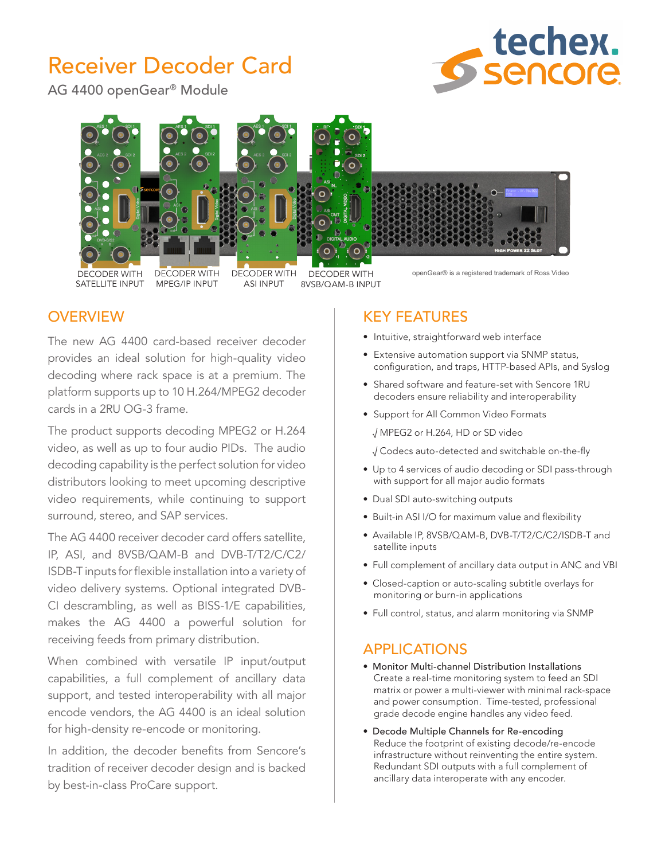# Receiver Decoder Card

AG 4400 openGear® Module





# **OVERVIEW**

The new AG 4400 card-based receiver decoder provides an ideal solution for high-quality video decoding where rack space is at a premium. The platform supports up to 10 H.264/MPEG2 decoder cards in a 2RU OG-3 frame.

The product supports decoding MPEG2 or H.264 video, as well as up to four audio PIDs. The audio decoding capability is the perfect solution for video distributors looking to meet upcoming descriptive video requirements, while continuing to support surround, stereo, and SAP services.

The AG 4400 receiver decoder card offers satellite, IP, ASI, and 8VSB/QAM-B and DVB-T/T2/C/C2/ ISDB-T inputs for flexible installation into a variety of video delivery systems. Optional integrated DVB-CI descrambling, as well as BISS-1/E capabilities, makes the AG 4400 a powerful solution for receiving feeds from primary distribution.

When combined with versatile IP input/output capabilities, a full complement of ancillary data support, and tested interoperability with all major encode vendors, the AG 4400 is an ideal solution for high-density re-encode or monitoring.

In addition, the decoder benefits from Sencore's tradition of receiver decoder design and is backed by best-in-class ProCare support.

# KEY FEATURES

- Intuitive, straightforward web interface
- Extensive automation support via SNMP status, configuration, and traps, HTTP-based APIs, and Syslog
- Shared software and feature-set with Sencore 1RU decoders ensure reliability and interoperability
- Support for All Common Video Formats

√ MPEG2 or H.264, HD or SD video

√ Codecs auto-detected and switchable on-the-fly

- Up to 4 services of audio decoding or SDI pass-through with support for all major audio formats
- Dual SDI auto-switching outputs
- Built-in ASI I/O for maximum value and flexibility
- Available IP, 8VSB/QAM-B, DVB-T/T2/C/C2/ISDB-T and satellite inputs
- Full complement of ancillary data output in ANC and VBI
- Closed-caption or auto-scaling subtitle overlays for monitoring or burn-in applications
- Full control, status, and alarm monitoring via SNMP

# APPLICATIONS

- Monitor Multi-channel Distribution Installations Create a real-time monitoring system to feed an SDI matrix or power a multi-viewer with minimal rack-space and power consumption. Time-tested, professional grade decode engine handles any video feed.
- Decode Multiple Channels for Re-encoding Reduce the footprint of existing decode/re-encode infrastructure without reinventing the entire system. Redundant SDI outputs with a full complement of ancillary data interoperate with any encoder.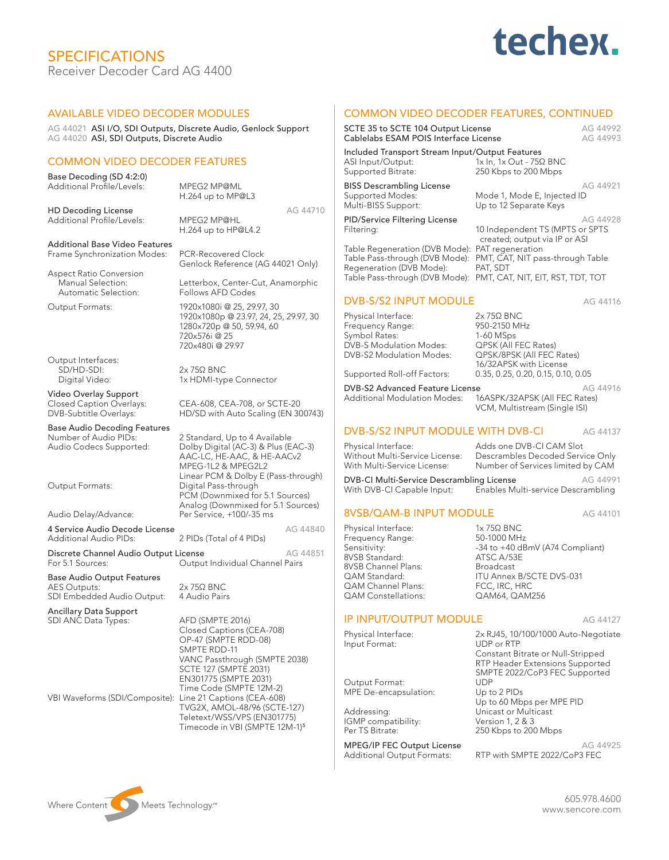# SPECIFICATIONS Receiver Decoder Card AG 4400

# techex.

### AVAILABLE VIDEO DECODER MODULES

AG 44021 ASI I/O, SDI Outputs, Discrete Audio, Genlock Support AG 44020 ASI, SDI Outputs, Discrete Audio

### COMMON VIDEO DECODER FEATURES

Base Decoding (SD 4:2:0) Additional Profile/Levels: MPEG2 MP@ML H.264 up to MP@L3

HD Decoding License<br>
AG 44710<br>
Additional Profile/Levels: MPEG2 MP@HL Additional Profile/Levels:

H.264 up to HP@L4.2

Additional Base Video Features Frame Synchronization Modes: PCR-Recovered Clock

Aspect Ratio Conversion Automatic Selection:

Output Interfaces:<br>SD/HD-SDI: SD/HD-SDI: 2x 75Ω BNC<br>Digital Video: 2x 75Ω BNC

Video Overlay Support

Base Audio Decoding Features<br>Number of Audio PIDs:

4 Service Audio Decode License<br>Additional Audio PIDs: 2 PIDs (Total of 4 PIDs) Additional Audio PIDs:

Discrete Channel Audio Output License AG 44851 For 5.1 Sources: Cutput Individual Channel Pairs

Base Audio Output Features AES Outputs: 2x 75Ω BNC<br>SDI Embedded Audio Output: 4 Audio Pairs SDI Embedded Audio Output:

Ancillary Data Support SDI ANC Data Types: AFD (SMPTE 2016)

VBI Waveforms (SDI/Composite): Line 21 Captions (CEA-608)

Genlock Reference (AG 44021 Only) Manual Selection: Letterbox, Center-Cut, Anamorphic

Output Formats: 1920x1080i @ 25, 29.97, 30 1920x1080p @ 23.97, 24, 25, 29.97, 30 1280x720p @ 50, 59.94, 60 720x576i @ 25 720x480i @ 29.97

1x HDMI-type Connector

Closed Caption Overlays: CEA-608, CEA-708, or SCTE-20<br>DVB-Subtitle Overlays: HD/SD with Auto Scaling (EN 30 HD/SD with Auto Scaling (EN 300743)

Number of Audio PIDs: 2 Standard, Up to 4 Available Audio Codecs Supported: Dolby Digital (AC-3) & Plus (EAC-3) AAC-LC, HE-AAC, & HE-AACv2 MPEG-1L2 & MPEG2L2 Linear PCM & Dolby E (Pass-through) Output Formats: Digital Pass-through PCM (Downmixed for 5.1 Sources) Analog (Downmixed for 5.1 Sources) Audio Delay/Advance: Per Service, +100/-35 ms

Closed Captions (CEA-708) OP-47 (SMPTE RDD-08) SMPTE RDD-11 VANC Passthrough (SMPTE 2038) SCTE 127 (SMPTE 2031) EN301775 (SMPTE 2031) Time Code (SMPTE 12M-2) TVG2X, AMOL-48/96 (SCTE-127) Teletext/WSS/VPS (EN301775) Timecode in VBI (SMPTE 12M-1)<sup>5</sup>

| <b>COMMON VIDEO DECODER FEATURES, CONTINUED</b>                                                                                                                                   |                                                                                                                                                                        |                      |
|-----------------------------------------------------------------------------------------------------------------------------------------------------------------------------------|------------------------------------------------------------------------------------------------------------------------------------------------------------------------|----------------------|
| SCTE 35 to SCTE 104 Output License<br>Cablelabs ESAM POIS Interface License                                                                                                       |                                                                                                                                                                        | AG 44992<br>AG 44993 |
| Included Transport Stream Input/Output Features<br>ASI Input/Output:<br>Supported Bitrate:                                                                                        | 1x In, 1x Out - 75Ω BNC<br>250 Kbps to 200 Mbps                                                                                                                        |                      |
| <b>BISS Descrambling License</b><br>Supported Modes:<br>Multi-BISS Support:                                                                                                       | Mode 1, Mode E, Injected ID<br>Up to 12 Separate Keys                                                                                                                  | AG 44921             |
| <b>PID/Service Filtering License</b><br>Filtering:                                                                                                                                | 10 Independent TS (MPTS or SPTS<br>created; output via IP or ASI                                                                                                       | AG 44928             |
| Table Regeneration (DVB Mode): PAT regeneration<br>Table Pass-through (DVB Mode):<br>Regeneration (DVB Mode):<br>Table Pass-through (DVB Mode): PMT, CAT, NIT, EIT, RST, TDT, TOT | PMT, CAT, NIT pass-through Table<br>PAT, SDT                                                                                                                           |                      |
| <b>DVB-S/S2 INPUT MODULE</b>                                                                                                                                                      |                                                                                                                                                                        | AG 44116             |
| Physical Interface:<br>Frequency Range:<br>Symbol Rates:<br>DVB-S Modulation Modes:<br>DVB-S2 Modulation Modes:<br>Supported Roll-off Factors:                                    | $2x$ 75 $\Omega$ BNC<br>950-2150 MHz<br>1-60 MSps<br>QPSK (All FEC Rates)<br>QPSK/8PSK (All FEC Rates)<br>16/32APSK with License<br>0.35, 0.25, 0.20, 0.15, 0.10, 0.05 |                      |
| DVB-S2 Advanced Feature License<br><b>Additional Modulation Modes:</b>                                                                                                            | 16ASPK/32APSK (All FEC Rates)<br>VCM, Multistream (Single ISI)                                                                                                         | AG 44916             |
| DVB-S/S2 INPUT MODULE WITH DVB-CI                                                                                                                                                 |                                                                                                                                                                        | AG 44137             |
| Physical Interface:<br>Without Multi-Service License:<br>With Multi-Service License:                                                                                              | Adds one DVB-CI CAM Slot<br>Descrambles Decoded Service Only<br>Number of Services limited by CAM                                                                      |                      |
| DVB-CI Multi-Service Descrambling License<br>With DVB-CI Capable Input:                                                                                                           | Enables Multi-service Descrambling                                                                                                                                     | AG 44991             |
| 8VSB/QAM-B INPUT MODULE                                                                                                                                                           |                                                                                                                                                                        | AG 44101             |
| Physical Interface:<br>Frequency Range:<br>Sensitivity:<br>8VSB Standard:<br>8VSB Channel Plans:<br>QAM Standard:<br>QAM Channel Plans:<br>QAM Constellations:                    | $1x$ 75Ω BNC<br>50-1000 MHz<br>-34 to +40 dBmV (A74 Compliant)<br>ATSC A/53E<br><b>Broadcast</b><br><b>ITU Annex B/SCTE DVS-031</b><br>FCC, IRC, HRC<br>QAM64, QAM256  |                      |
| <b>IP INPUT/OUTPUT MODULE</b>                                                                                                                                                     |                                                                                                                                                                        | AG 44127             |

Output Format: UDP<br>MPE De-encapsulation: Up to 2 PIDs MPE De-encapsulation:

IGMP compatibility:<br>Per TS Bitrate:

Additional Output Formats:

Physical Interface: 2x RJ45, 10/100/1000 Auto-Negotiate Constant Bitrate or Null-Stripped RTP Header Extensions Supported SMPTE 2022/CoP3 FEC Supported Up to 60 Mbps per MPE PID 250 Kbps to 200 Mbps

MPEG/IP FEC Output License<br>Additional Output Formats: RTP with SMPTE 2022/CoP3 FEC



605.978.4600 www.sencore.com

Input Format:

Addressing: Unicast or Multicast<br>
IGMP compatibility: Version 1.2 & 3